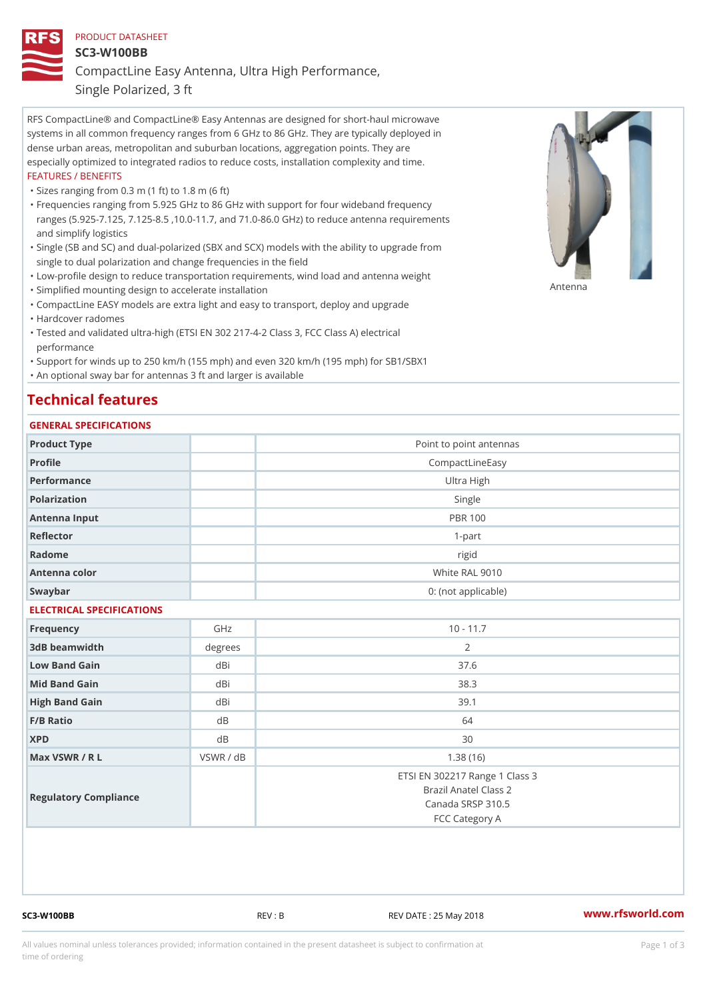## PRODUCT DATASHEET SC3-W100BB CompactLine Easy Antenna, Ultra High Performance,

Single Polarized, 3 ft

RFS CompactLine® and CompactLine® Easy Antennas are designed for short-haul microwave systems in all common frequency ranges from 6 GHz to 86 GHz. They are typically deployed in dense urban areas, metropolitan and suburban locations, aggregation points. They are especially optimized to integrated radios to reduce costs, installation complexity and time. FEATURES / BENEFITS

"Sizes ranging from 0.3 m (1 ft) to 1.8 m (6 ft)

- Frequencies ranging from 5.925 GHz to 86 GHz with support for four wideband frequency " ranges (5.925-7.125, 7.125-8.5 ,10.0-11.7, and 71.0-86.0 GHz) to reduce antenna requirements and simplify logistics
- Single (SB and SC) and dual-polarized (SBX and SCX) models with the ability to upgrade from " single to dual polarization and change frequencies in the field
- "Low-profile design to reduce transportation requirements, wind load and antenna weight
- "Simplified mounting design to accelerate installation

 "CompactLine EASY models are extra light and easy to transport, deploy and upgrade "Hardcover radomes

Tested and validated ultra-high (ETSI EN 302 217-4-2 Class 3, FCC Class A) electrical " performance

 "Support for winds up to 250 km/h (155 mph) and even 320 km/h (195 mph) for SB1/SBX1 "An optional sway bar for antennas 3 ft and larger is available

## Technical features

## GENERAL SPECIFICATIONS

| OLIVLINAL OI LOII IOA I IONO |                |                                                                                                |
|------------------------------|----------------|------------------------------------------------------------------------------------------------|
| Product Type                 |                | Point to point antennas                                                                        |
| Profile                      |                | CompactLineEasy                                                                                |
| Performance                  |                | Ultra High                                                                                     |
| Polarization                 |                | Single                                                                                         |
| Antenna Input                |                | <b>PBR 100</b>                                                                                 |
| Reflector                    |                | $1-part$                                                                                       |
| Radome                       |                | rigid                                                                                          |
| Antenna color                |                | White RAL 9010                                                                                 |
| Swaybar                      |                | 0: (not applicable)                                                                            |
| ELECTRICAL SPECIFICATIONS    |                |                                                                                                |
| Frequency                    | GHz            | $10 - 11.7$                                                                                    |
| 3dB beamwidth                | degree         | 2                                                                                              |
| Low Band Gain                | dBi            | 37.6                                                                                           |
| Mid Band Gain                | dBi            | 38.3                                                                                           |
| High Band Gain               | dBi            | 39.1                                                                                           |
| F/B Ratio                    | d B            | 64                                                                                             |
| <b>XPD</b>                   | d <sub>B</sub> | 30                                                                                             |
| Max VSWR / R L               | VSWR / dB      | 1.38(16)                                                                                       |
| Regulatory Compliance        |                | ETSI EN 302217 Range 1 Class 3<br>Brazil Anatel Class 2<br>Canada SRSP 310.5<br>FCC Category A |
|                              |                |                                                                                                |

SC3-W100BB REV : B REV DATE : 25 May 2018 [www.](https://www.rfsworld.com)rfsworld.com

Antenna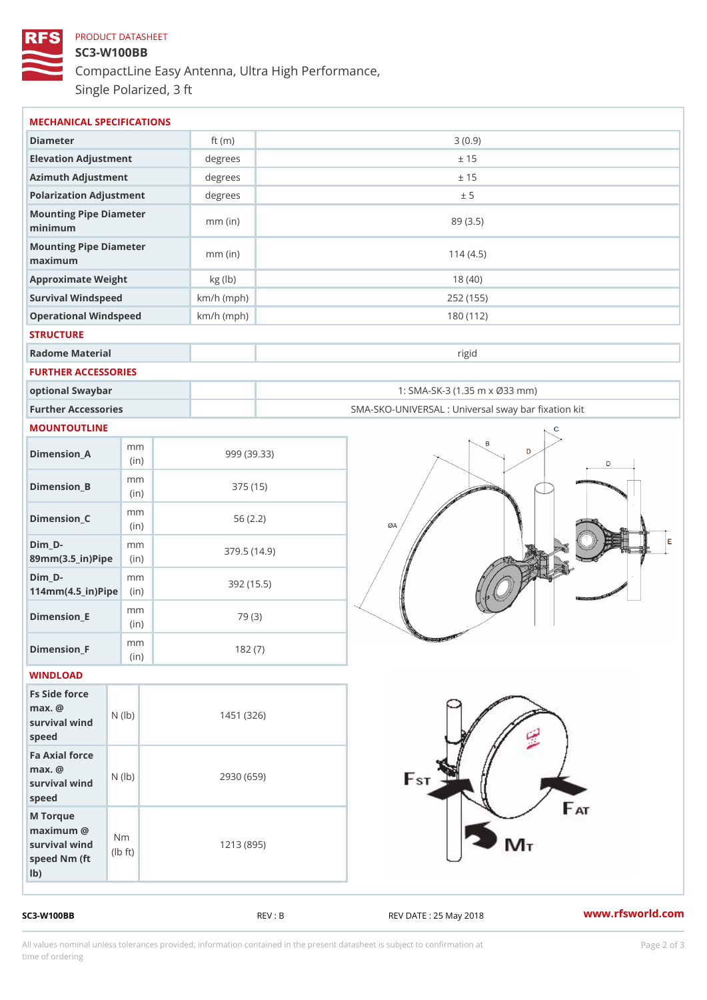## PRODUCT DATASHEET SC3-W100BB CompactLine Easy Antenna, Ultra High Performance, Single Polarized, 3 ft

| MECHANICAL SPECIFICATIONS                                                                                          |              |                                                   |
|--------------------------------------------------------------------------------------------------------------------|--------------|---------------------------------------------------|
| Diameter                                                                                                           | ft $(m)$     | 3(0.9)                                            |
| Elevation Adjustment                                                                                               | degrees      | ± 15                                              |
| Azimuth Adjustment                                                                                                 | degrees      | ± 15                                              |
| Polarization Adjustment                                                                                            | degrees      | ± 5                                               |
| Mounting Pipe Diameter<br>minimum                                                                                  | $mm$ (in)    | 89 (3.5)                                          |
| Mounting Pipe Diameter<br>maximum                                                                                  | $mm$ (in)    | 114(4.5)                                          |
| Approximate Weight                                                                                                 | kg (lb)      | 18(40)                                            |
| Survival Windspeed                                                                                                 | $km/h$ (mph) | 252 (155)                                         |
| Operational Windspeed                                                                                              | $km/h$ (mph) | 180 (112)                                         |
| <b>STRUCTURE</b>                                                                                                   |              |                                                   |
| Radome Material                                                                                                    |              | rigid                                             |
| FURTHER ACCESSORIES                                                                                                |              |                                                   |
| optional Swaybar                                                                                                   |              | 1: SMA-SK-3 (1.35 m x Ø33 mm)                     |
| Further Accessories                                                                                                |              | SMA-SKO-UNIVERSAL : Universal sway bar fixation l |
| MOUNTOUTLINE                                                                                                       |              |                                                   |
| m m<br>$D$ imension $\_$ A<br>(in)                                                                                 |              | 999 (39.33)                                       |
| m m<br>$Dimension_B$<br>(in)                                                                                       |              | 375 (15)                                          |
| m m<br>$Dimension_C$<br>(in)                                                                                       |              | 56(2.2)                                           |
| $Dim_D - D -$<br>m m<br>89mm (3.5_in) Pi(pine)                                                                     |              | 379.5(14.9)                                       |
| $Dim_D - D -$<br>m m<br>$114mm(4.5_{ir})$ $Ri$ p                                                                   |              | 392 (15.5)                                        |
| m m<br>$Dimension$ _ $E$<br>(in)                                                                                   |              | 79 (3)                                            |
| m m<br>$Dimen sion_F$<br>(in)                                                                                      |              | 182(7)                                            |
| WINDLOAD                                                                                                           |              |                                                   |
| Fs Side force<br>$max.$ @<br>survival $wind$ ( $ b)$ )<br>speed                                                    |              | 1451 (326)                                        |
| Fa Axial force<br>$max.$ @<br>survival $w \nmid N$ ( $ b$ )<br>speed                                               |              | 2930 (659)                                        |
| M Torque<br>$maximum$ @<br>N <sub>m</sub><br>survival wind<br>$\mathsf{1b}$ $\mathsf{1}$<br>speed Nm (ft<br>$1b$ ) |              | 1213 (895)                                        |

SC3-W100BB REV : B REV : REV DATE : 25 May 2018 WWW.rfsworld.com